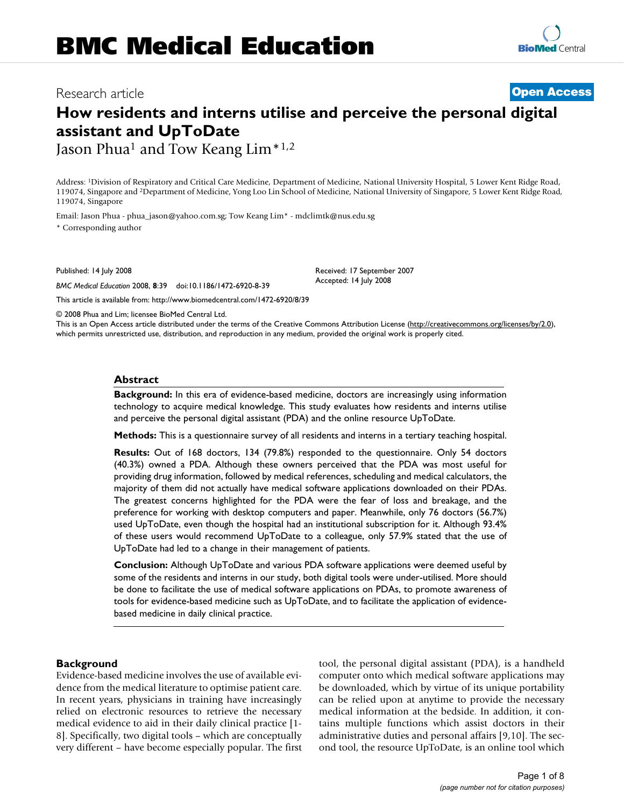# Research article **[Open Access](http://www.biomedcentral.com/info/about/charter/)**

# **How residents and interns utilise and perceive the personal digital assistant and UpToDate**

Jason Phua<sup>1</sup> and Tow Keang Lim<sup>\*1,2</sup>

Address: 1Division of Respiratory and Critical Care Medicine, Department of Medicine, National University Hospital, 5 Lower Kent Ridge Road, 119074, Singapore and 2Department of Medicine, Yong Loo Lin School of Medicine, National University of Singapore, 5 Lower Kent Ridge Road, 119074, Singapore

Email: Jason Phua - phua\_jason@yahoo.com.sg; Tow Keang Lim\* - mdclimtk@nus.edu.sg \* Corresponding author

Published: 14 July 2008

*BMC Medical Education* 2008, **8**:39 doi:10.1186/1472-6920-8-39

[This article is available from: http://www.biomedcentral.com/1472-6920/8/39](http://www.biomedcentral.com/1472-6920/8/39)

© 2008 Phua and Lim; licensee BioMed Central Ltd.

This is an Open Access article distributed under the terms of the Creative Commons Attribution License [\(http://creativecommons.org/licenses/by/2.0\)](http://creativecommons.org/licenses/by/2.0), which permits unrestricted use, distribution, and reproduction in any medium, provided the original work is properly cited.

Received: 17 September 2007 Accepted: 14 July 2008

#### **Abstract**

**Background:** In this era of evidence-based medicine, doctors are increasingly using information technology to acquire medical knowledge. This study evaluates how residents and interns utilise and perceive the personal digital assistant (PDA) and the online resource UpToDate.

**Methods:** This is a questionnaire survey of all residents and interns in a tertiary teaching hospital.

**Results:** Out of 168 doctors, 134 (79.8%) responded to the questionnaire. Only 54 doctors (40.3%) owned a PDA. Although these owners perceived that the PDA was most useful for providing drug information, followed by medical references, scheduling and medical calculators, the majority of them did not actually have medical software applications downloaded on their PDAs. The greatest concerns highlighted for the PDA were the fear of loss and breakage, and the preference for working with desktop computers and paper. Meanwhile, only 76 doctors (56.7%) used UpToDate, even though the hospital had an institutional subscription for it. Although 93.4% of these users would recommend UpToDate to a colleague, only 57.9% stated that the use of UpToDate had led to a change in their management of patients.

**Conclusion:** Although UpToDate and various PDA software applications were deemed useful by some of the residents and interns in our study, both digital tools were under-utilised. More should be done to facilitate the use of medical software applications on PDAs, to promote awareness of tools for evidence-based medicine such as UpToDate, and to facilitate the application of evidencebased medicine in daily clinical practice.

### **Background**

Evidence-based medicine involves the use of available evidence from the medical literature to optimise patient care. In recent years, physicians in training have increasingly relied on electronic resources to retrieve the necessary medical evidence to aid in their daily clinical practice [1- 8]. Specifically, two digital tools – which are conceptually very different – have become especially popular. The first tool, the personal digital assistant (PDA), is a handheld computer onto which medical software applications may be downloaded, which by virtue of its unique portability can be relied upon at anytime to provide the necessary medical information at the bedside. In addition, it contains multiple functions which assist doctors in their administrative duties and personal affairs [9,10]. The second tool, the resource UpToDate, is an online tool which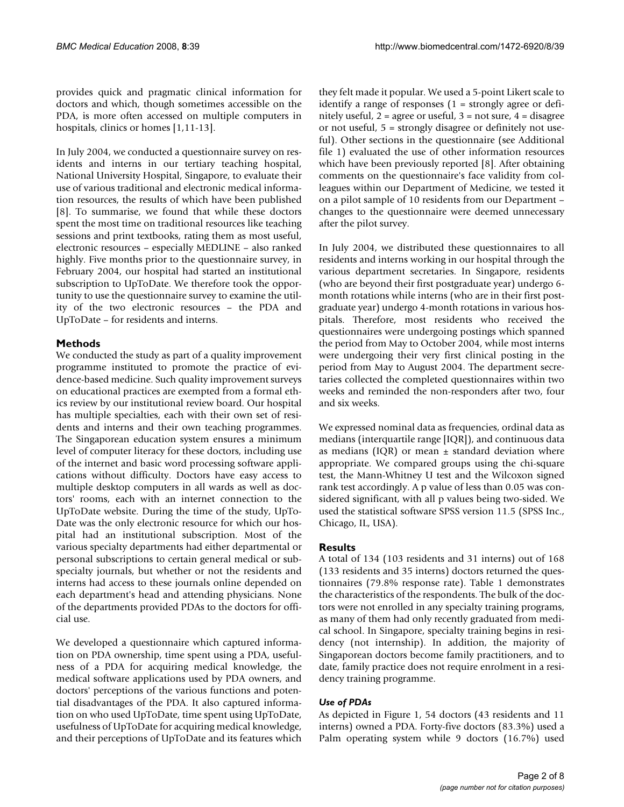provides quick and pragmatic clinical information for doctors and which, though sometimes accessible on the PDA, is more often accessed on multiple computers in hospitals, clinics or homes [1,11-13].

In July 2004, we conducted a questionnaire survey on residents and interns in our tertiary teaching hospital, National University Hospital, Singapore, to evaluate their use of various traditional and electronic medical information resources, the results of which have been published [8]. To summarise, we found that while these doctors spent the most time on traditional resources like teaching sessions and print textbooks, rating them as most useful, electronic resources – especially MEDLINE – also ranked highly. Five months prior to the questionnaire survey, in February 2004, our hospital had started an institutional subscription to UpToDate. We therefore took the opportunity to use the questionnaire survey to examine the utility of the two electronic resources – the PDA and UpToDate – for residents and interns.

# **Methods**

We conducted the study as part of a quality improvement programme instituted to promote the practice of evidence-based medicine. Such quality improvement surveys on educational practices are exempted from a formal ethics review by our institutional review board. Our hospital has multiple specialties, each with their own set of residents and interns and their own teaching programmes. The Singaporean education system ensures a minimum level of computer literacy for these doctors, including use of the internet and basic word processing software applications without difficulty. Doctors have easy access to multiple desktop computers in all wards as well as doctors' rooms, each with an internet connection to the UpToDate website. During the time of the study, UpTo-Date was the only electronic resource for which our hospital had an institutional subscription. Most of the various specialty departments had either departmental or personal subscriptions to certain general medical or subspecialty journals, but whether or not the residents and interns had access to these journals online depended on each department's head and attending physicians. None of the departments provided PDAs to the doctors for official use.

We developed a questionnaire which captured information on PDA ownership, time spent using a PDA, usefulness of a PDA for acquiring medical knowledge, the medical software applications used by PDA owners, and doctors' perceptions of the various functions and potential disadvantages of the PDA. It also captured information on who used UpToDate, time spent using UpToDate, usefulness of UpToDate for acquiring medical knowledge, and their perceptions of UpToDate and its features which

they felt made it popular. We used a 5-point Likert scale to identify a range of responses  $(1 =$  strongly agree or definitely useful, 2 = agree or useful, 3 = not sure, 4 = disagree or not useful, 5 = strongly disagree or definitely not useful). Other sections in the questionnaire (see Additional file 1) evaluated the use of other information resources which have been previously reported [8]. After obtaining comments on the questionnaire's face validity from colleagues within our Department of Medicine, we tested it on a pilot sample of 10 residents from our Department – changes to the questionnaire were deemed unnecessary after the pilot survey.

In July 2004, we distributed these questionnaires to all residents and interns working in our hospital through the various department secretaries. In Singapore, residents (who are beyond their first postgraduate year) undergo 6 month rotations while interns (who are in their first postgraduate year) undergo 4-month rotations in various hospitals. Therefore, most residents who received the questionnaires were undergoing postings which spanned the period from May to October 2004, while most interns were undergoing their very first clinical posting in the period from May to August 2004. The department secretaries collected the completed questionnaires within two weeks and reminded the non-responders after two, four and six weeks.

We expressed nominal data as frequencies, ordinal data as medians (interquartile range [IQR]), and continuous data as medians (IQR) or mean  $\pm$  standard deviation where appropriate. We compared groups using the chi-square test, the Mann-Whitney U test and the Wilcoxon signed rank test accordingly. A p value of less than 0.05 was considered significant, with all p values being two-sided. We used the statistical software SPSS version 11.5 (SPSS Inc., Chicago, IL, USA).

# **Results**

A total of 134 (103 residents and 31 interns) out of 168 (133 residents and 35 interns) doctors returned the questionnaires (79.8% response rate). Table 1 demonstrates the characteristics of the respondents. The bulk of the doctors were not enrolled in any specialty training programs, as many of them had only recently graduated from medical school. In Singapore, specialty training begins in residency (not internship). In addition, the majority of Singaporean doctors become family practitioners, and to date, family practice does not require enrolment in a residency training programme.

# *Use of PDAs*

As depicted in Figure 1, 54 doctors (43 residents and 11 interns) owned a PDA. Forty-five doctors (83.3%) used a Palm operating system while 9 doctors (16.7%) used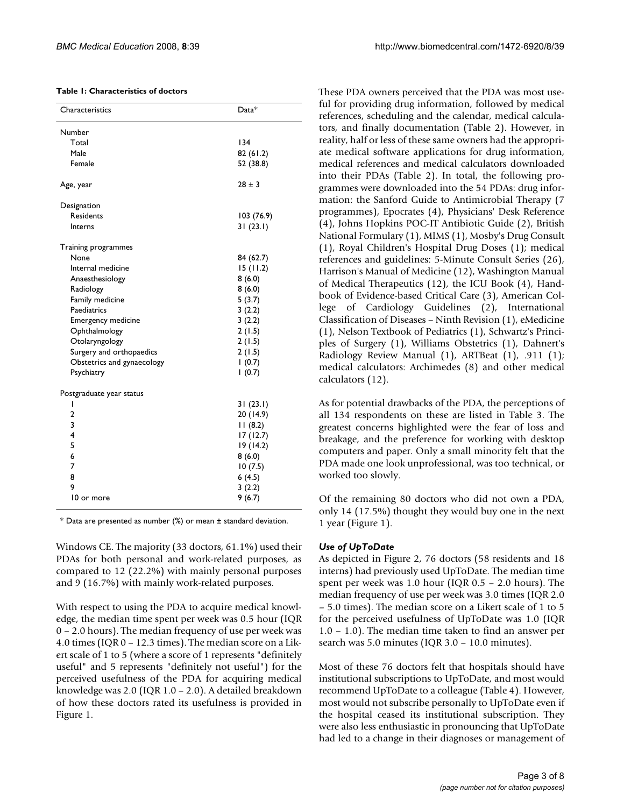#### **Table 1: Characteristics of doctors**

| Characteristics            | Data*      |
|----------------------------|------------|
|                            |            |
| Number                     |            |
| Total                      | 134        |
| Male                       | 82 (61.2)  |
| Female                     | 52 (38.8)  |
| Age, year                  | $28 \pm 3$ |
| Designation                |            |
| Residents                  | 103 (76.9) |
| Interns                    | 31(23.1)   |
| Training programmes        |            |
| None                       | 84 (62.7)  |
| Internal medicine          | 15(11.2)   |
| Anaesthesiology            | 8(6.0)     |
| Radiology                  | 8(6.0)     |
| Family medicine            | 5(3.7)     |
| Paediatrics                | 3(2.2)     |
| <b>Emergency medicine</b>  | 3(2.2)     |
| Ophthalmology              | 2(1.5)     |
| Otolaryngology             | 2(1.5)     |
| Surgery and orthopaedics   | 2(1.5)     |
| Obstetrics and gynaecology | 1(0.7)     |
| Psychiatry                 | 1(0.7)     |
| Postgraduate year status   |            |
| I                          | 31(23.1)   |
| $\overline{a}$             | 20 (14.9)  |
| 3                          | 11(8.2)    |
| 4                          | 17(12.7)   |
| 5                          | 19 (14.2)  |
| 6                          | 8(6.0)     |
| 7                          | 10(7.5)    |
| 8                          | 6(4.5)     |
| 9                          | 3(2.2)     |
| 10 or more                 | 9(6.7)     |
|                            |            |

 $*$  Data are presented as number (%) or mean  $\pm$  standard deviation.

Windows CE. The majority (33 doctors, 61.1%) used their PDAs for both personal and work-related purposes, as compared to 12 (22.2%) with mainly personal purposes and 9 (16.7%) with mainly work-related purposes.

With respect to using the PDA to acquire medical knowledge, the median time spent per week was 0.5 hour (IQR 0 – 2.0 hours). The median frequency of use per week was 4.0 times (IQR 0 – 12.3 times). The median score on a Likert scale of 1 to 5 (where a score of 1 represents "definitely useful" and 5 represents "definitely not useful") for the perceived usefulness of the PDA for acquiring medical knowledge was 2.0 (IQR 1.0 – 2.0). A detailed breakdown of how these doctors rated its usefulness is provided in Figure 1.

These PDA owners perceived that the PDA was most useful for providing drug information, followed by medical references, scheduling and the calendar, medical calculators, and finally documentation (Table 2). However, in reality, half or less of these same owners had the appropriate medical software applications for drug information, medical references and medical calculators downloaded into their PDAs (Table 2). In total, the following programmes were downloaded into the 54 PDAs: drug information: the Sanford Guide to Antimicrobial Therapy (7 programmes), Epocrates (4), Physicians' Desk Reference (4), Johns Hopkins POC-IT Antibiotic Guide (2), British National Formulary (1), MIMS (1), Mosby's Drug Consult (1), Royal Children's Hospital Drug Doses (1); medical references and guidelines: 5-Minute Consult Series (26), Harrison's Manual of Medicine (12), Washington Manual of Medical Therapeutics (12), the ICU Book (4), Handbook of Evidence-based Critical Care (3), American College of Cardiology Guidelines (2), International Classification of Diseases – Ninth Revision (1), eMedicine (1), Nelson Textbook of Pediatrics (1), Schwartz's Principles of Surgery (1), Williams Obstetrics (1), Dahnert's Radiology Review Manual (1), ARTBeat (1), .911 (1); medical calculators: Archimedes (8) and other medical calculators (12).

As for potential drawbacks of the PDA, the perceptions of all 134 respondents on these are listed in Table 3. The greatest concerns highlighted were the fear of loss and breakage, and the preference for working with desktop computers and paper. Only a small minority felt that the PDA made one look unprofessional, was too technical, or worked too slowly.

Of the remaining 80 doctors who did not own a PDA, only 14 (17.5%) thought they would buy one in the next 1 year (Figure 1).

### *Use of UpToDate*

As depicted in Figure 2, 76 doctors (58 residents and 18 interns) had previously used UpToDate. The median time spent per week was 1.0 hour (IQR 0.5 – 2.0 hours). The median frequency of use per week was 3.0 times (IQR 2.0 – 5.0 times). The median score on a Likert scale of 1 to 5 for the perceived usefulness of UpToDate was 1.0 (IQR 1.0 – 1.0). The median time taken to find an answer per search was 5.0 minutes (IQR 3.0 – 10.0 minutes).

Most of these 76 doctors felt that hospitals should have institutional subscriptions to UpToDate, and most would recommend UpToDate to a colleague (Table 4). However, most would not subscribe personally to UpToDate even if the hospital ceased its institutional subscription. They were also less enthusiastic in pronouncing that UpToDate had led to a change in their diagnoses or management of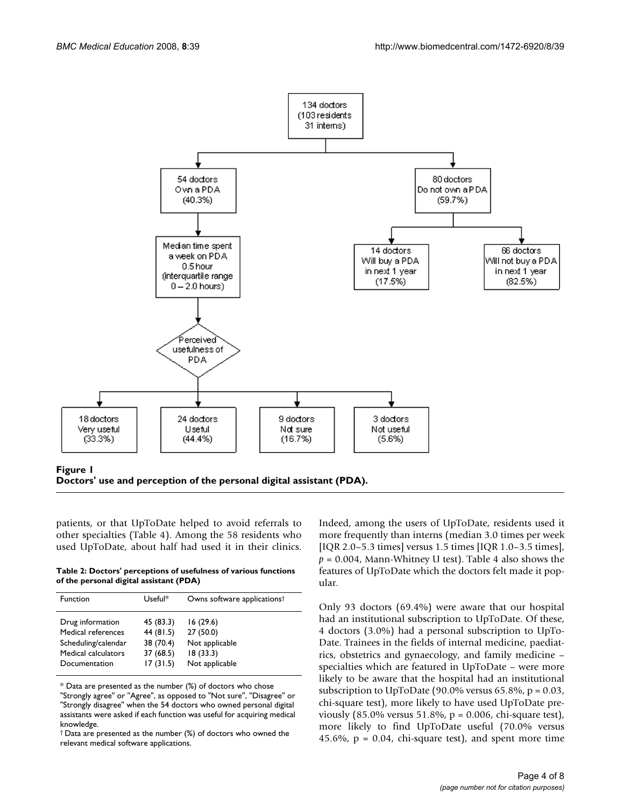

**Doctors' use and perception of the personal digital assistant (PDA).**

patients, or that UpToDate helped to avoid referrals to other specialties (Table 4). Among the 58 residents who used UpToDate, about half had used it in their clinics.

**Table 2: Doctors' perceptions of usefulness of various functions of the personal digital assistant (PDA)**

| $Useful*$<br>Function                                                                                                                                                                                                                         |  |                                         |  |
|-----------------------------------------------------------------------------------------------------------------------------------------------------------------------------------------------------------------------------------------------|--|-----------------------------------------|--|
|                                                                                                                                                                                                                                               |  | Owns software applications <sup>†</sup> |  |
| Drug information<br>16(29.6)<br>45 (83.3)<br>27(50.0)<br>44 (81.5)<br>Medical references<br>38 (70.4)<br>Not applicable<br>Scheduling/calendar<br>18(33.3)<br>37 (68.5)<br>Medical calculators<br>17(31.5)<br>Not applicable<br>Documentation |  |                                         |  |

\* Data are presented as the number (%) of doctors who chose

"Strongly agree" or "Agree", as opposed to "Not sure", "Disagree" or "Strongly disagree" when the 54 doctors who owned personal digital assistants were asked if each function was useful for acquiring medical knowledge.

† Data are presented as the number (%) of doctors who owned the relevant medical software applications.

Indeed, among the users of UpToDate, residents used it more frequently than interns (median 3.0 times per week [IQR 2.0–5.3 times] versus 1.5 times [IQR 1.0–3.5 times],  $p = 0.004$ , Mann-Whitney U test). Table 4 also shows the features of UpToDate which the doctors felt made it popular.

Only 93 doctors (69.4%) were aware that our hospital had an institutional subscription to UpToDate. Of these, 4 doctors (3.0%) had a personal subscription to UpTo-Date. Trainees in the fields of internal medicine, paediatrics, obstetrics and gynaecology, and family medicine – specialties which are featured in UpToDate – were more likely to be aware that the hospital had an institutional subscription to UpToDate (90.0% versus 65.8%,  $p = 0.03$ , chi-square test), more likely to have used UpToDate previously (85.0% versus 51.8%, p = 0.006, chi-square test), more likely to find UpToDate useful (70.0% versus  $45.6\%$ ,  $p = 0.04$ , chi-square test), and spent more time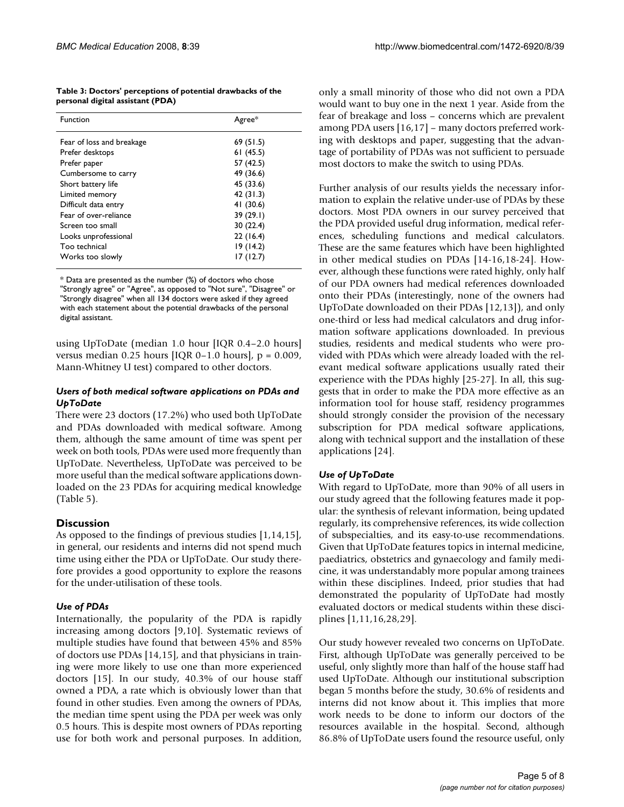**Table 3: Doctors' perceptions of potential drawbacks of the personal digital assistant (PDA)**

| Function                  | Agree*    |
|---------------------------|-----------|
| Fear of loss and breakage | 69(51.5)  |
| Prefer desktops           | 61(45.5)  |
| Prefer paper              | 57 (42.5) |
| Cumbersome to carry       | 49 (36.6) |
| Short battery life        | 45 (33.6) |
| Limited memory            | 42(31.3)  |
| Difficult data entry      | 41 (30.6) |
| Fear of over-reliance     | 39 (29.1) |
| Screen too small          | 30(22.4)  |
| Looks unprofessional      | 22(16.4)  |
| Too technical             | 19(14.2)  |
| Works too slowly          | 17 (12.7) |
|                           |           |

\* Data are presented as the number (%) of doctors who chose "Strongly agree" or "Agree", as opposed to "Not sure", "Disagree" or "Strongly disagree" when all 134 doctors were asked if they agreed with each statement about the potential drawbacks of the personal digital assistant.

using UpToDate (median 1.0 hour [IQR 0.4–2.0 hours] versus median  $0.25$  hours [IQR 0-1.0 hours], p =  $0.009$ , Mann-Whitney U test) compared to other doctors.

# *Users of both medical software applications on PDAs and UpToDate*

There were 23 doctors (17.2%) who used both UpToDate and PDAs downloaded with medical software. Among them, although the same amount of time was spent per week on both tools, PDAs were used more frequently than UpToDate. Nevertheless, UpToDate was perceived to be more useful than the medical software applications downloaded on the 23 PDAs for acquiring medical knowledge (Table 5).

# **Discussion**

As opposed to the findings of previous studies [1,14,15], in general, our residents and interns did not spend much time using either the PDA or UpToDate. Our study therefore provides a good opportunity to explore the reasons for the under-utilisation of these tools.

### *Use of PDAs*

Internationally, the popularity of the PDA is rapidly increasing among doctors [9,10]. Systematic reviews of multiple studies have found that between 45% and 85% of doctors use PDAs [14,15], and that physicians in training were more likely to use one than more experienced doctors [15]. In our study, 40.3% of our house staff owned a PDA, a rate which is obviously lower than that found in other studies. Even among the owners of PDAs, the median time spent using the PDA per week was only 0.5 hours. This is despite most owners of PDAs reporting use for both work and personal purposes. In addition,

only a small minority of those who did not own a PDA would want to buy one in the next 1 year. Aside from the fear of breakage and loss – concerns which are prevalent among PDA users [16,17] – many doctors preferred working with desktops and paper, suggesting that the advantage of portability of PDAs was not sufficient to persuade most doctors to make the switch to using PDAs.

Further analysis of our results yields the necessary information to explain the relative under-use of PDAs by these doctors. Most PDA owners in our survey perceived that the PDA provided useful drug information, medical references, scheduling functions and medical calculators. These are the same features which have been highlighted in other medical studies on PDAs [14-16,18-24]. However, although these functions were rated highly, only half of our PDA owners had medical references downloaded onto their PDAs (interestingly, none of the owners had UpToDate downloaded on their PDAs [12,13]), and only one-third or less had medical calculators and drug information software applications downloaded. In previous studies, residents and medical students who were provided with PDAs which were already loaded with the relevant medical software applications usually rated their experience with the PDAs highly [25-27]. In all, this suggests that in order to make the PDA more effective as an information tool for house staff, residency programmes should strongly consider the provision of the necessary subscription for PDA medical software applications, along with technical support and the installation of these applications [24].

### *Use of UpToDate*

With regard to UpToDate, more than 90% of all users in our study agreed that the following features made it popular: the synthesis of relevant information, being updated regularly, its comprehensive references, its wide collection of subspecialties, and its easy-to-use recommendations. Given that UpToDate features topics in internal medicine, paediatrics, obstetrics and gynaecology and family medicine, it was understandably more popular among trainees within these disciplines. Indeed, prior studies that had demonstrated the popularity of UpToDate had mostly evaluated doctors or medical students within these disciplines [1,11,16,28,29].

Our study however revealed two concerns on UpToDate. First, although UpToDate was generally perceived to be useful, only slightly more than half of the house staff had used UpToDate. Although our institutional subscription began 5 months before the study, 30.6% of residents and interns did not know about it. This implies that more work needs to be done to inform our doctors of the resources available in the hospital. Second, although 86.8% of UpToDate users found the resource useful, only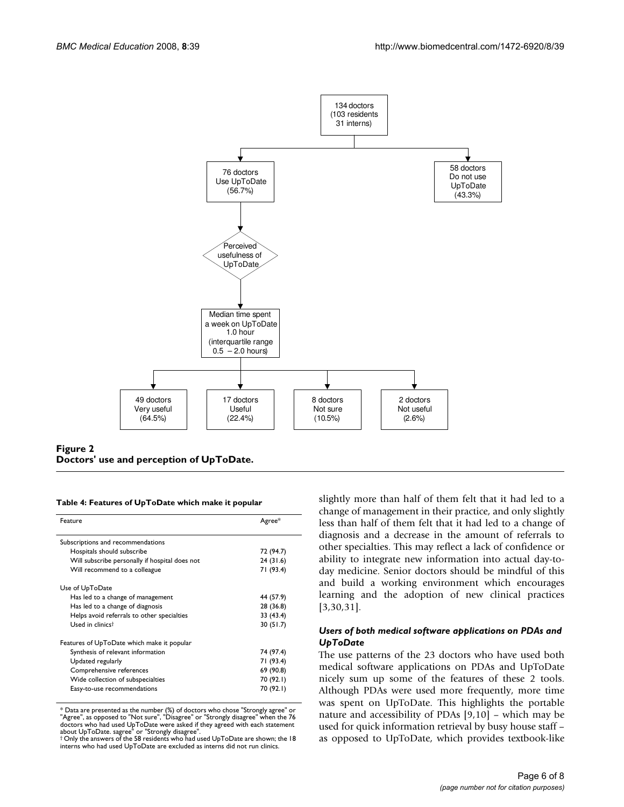

**Figure 2 Doctors' use and perception of UpToDate.**

| Table 4: Features of UpToDate which make it popular |
|-----------------------------------------------------|
|-----------------------------------------------------|

| Feature                                        | Agree*    |
|------------------------------------------------|-----------|
| Subscriptions and recommendations              |           |
| Hospitals should subscribe                     | 72 (94.7) |
| Will subscribe personally if hospital does not | 24(31.6)  |
| Will recommend to a colleague                  | 71 (93.4) |
| Use of UpToDate                                |           |
| Has led to a change of management              | 44 (57.9) |
| Has led to a change of diagnosis               | 28 (36.8) |
| Helps avoid referrals to other specialties     | 33 (43.4) |
| Used in clinicst                               | 30(51.7)  |
| Features of UpToDate which make it popular     |           |
| Synthesis of relevant information              | 74 (97.4) |
| Updated regularly                              | 71 (93.4) |
| Comprehensive references                       | 69 (90.8) |
| Wide collection of subspecialties              | 70 (92.1) |
| Easy-to-use recommendations                    | 70 (92.1) |

 $^*$  Data are presented as the number (%) of doctors who chose "Strongly agree" or  $\,$ "Agree", as opposed to "Not sure", "Disagree" or "Strongly disagree" when the 76 doctors who had used UpToDate were asked if they agreed with each statement

t Only the answers of the 58 residents who had used UpToDate are shown; the 18 interns who had used UpToDate are excluded as interns did not run clinics.

slightly more than half of them felt that it had led to a change of management in their practice, and only slightly less than half of them felt that it had led to a change of diagnosis and a decrease in the amount of referrals to other specialties. This may reflect a lack of confidence or ability to integrate new information into actual day-today medicine. Senior doctors should be mindful of this and build a working environment which encourages learning and the adoption of new clinical practices [3,30,31].

# *Users of both medical software applications on PDAs and UpToDate*

The use patterns of the 23 doctors who have used both medical software applications on PDAs and UpToDate nicely sum up some of the features of these 2 tools. Although PDAs were used more frequently, more time was spent on UpToDate. This highlights the portable nature and accessibility of PDAs [9,10] – which may be used for quick information retrieval by busy house staff – as opposed to UpToDate, which provides textbook-like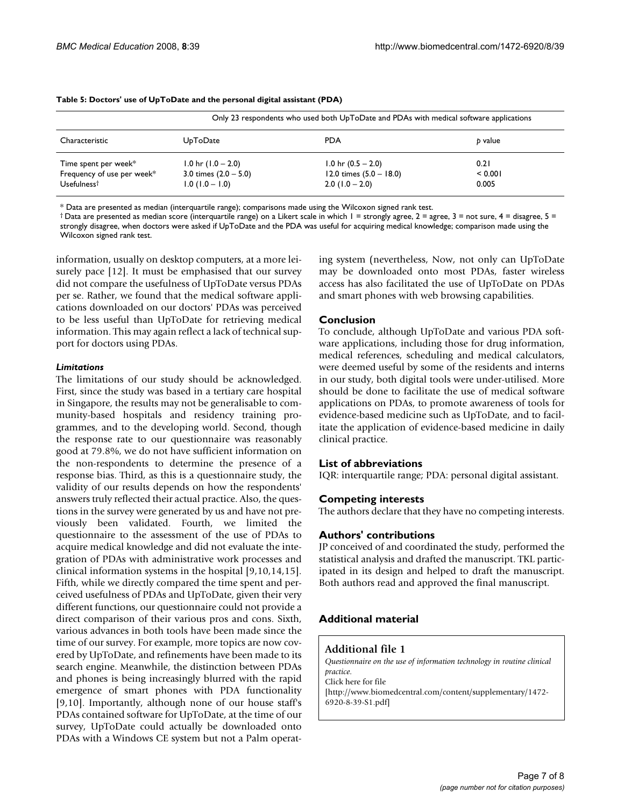|                                                                               | Only 23 respondents who used both UpToDate and PDAs with medical software applications |                                                                       |                          |  |
|-------------------------------------------------------------------------------|----------------------------------------------------------------------------------------|-----------------------------------------------------------------------|--------------------------|--|
| Characteristic                                                                | UpToDate                                                                               | <b>PDA</b>                                                            | b value                  |  |
| Time spent per week*<br>Frequency of use per week*<br>Usefulness <sup>†</sup> | 1.0 hr $(1.0 - 2.0)$<br>3.0 times $(2.0 - 5.0)$<br>$1.0(1.0 - 1.0)$                    | 1.0 hr $(0.5 - 2.0)$<br>12.0 times $(5.0 - 18.0)$<br>$2.0(1.0 - 2.0)$ | 0.21<br>< 0.001<br>0.005 |  |

#### **Table 5: Doctors' use of UpToDate and the personal digital assistant (PDA)**

\* Data are presented as median (interquartile range); comparisons made using the Wilcoxon signed rank test.

 $\dagger$  Data are presented as median score (interquartile range) on a Likert scale in which 1 = strongly agree, 2 = agree, 3 = not sure, 4 = disagree, 5 = strongly disagree, when doctors were asked if UpToDate and the PDA was useful for acquiring medical knowledge; comparison made using the Wilcoxon signed rank test.

information, usually on desktop computers, at a more leisurely pace [12]. It must be emphasised that our survey did not compare the usefulness of UpToDate versus PDAs per se. Rather, we found that the medical software applications downloaded on our doctors' PDAs was perceived to be less useful than UpToDate for retrieving medical information. This may again reflect a lack of technical support for doctors using PDAs.

#### *Limitations*

The limitations of our study should be acknowledged. First, since the study was based in a tertiary care hospital in Singapore, the results may not be generalisable to community-based hospitals and residency training programmes, and to the developing world. Second, though the response rate to our questionnaire was reasonably good at 79.8%, we do not have sufficient information on the non-respondents to determine the presence of a response bias. Third, as this is a questionnaire study, the validity of our results depends on how the respondents' answers truly reflected their actual practice. Also, the questions in the survey were generated by us and have not previously been validated. Fourth, we limited the questionnaire to the assessment of the use of PDAs to acquire medical knowledge and did not evaluate the integration of PDAs with administrative work processes and clinical information systems in the hospital [9,10,14,15]. Fifth, while we directly compared the time spent and perceived usefulness of PDAs and UpToDate, given their very different functions, our questionnaire could not provide a direct comparison of their various pros and cons. Sixth, various advances in both tools have been made since the time of our survey. For example, more topics are now covered by UpToDate, and refinements have been made to its search engine. Meanwhile, the distinction between PDAs and phones is being increasingly blurred with the rapid emergence of smart phones with PDA functionality [9,10]. Importantly, although none of our house staff's PDAs contained software for UpToDate, at the time of our survey, UpToDate could actually be downloaded onto PDAs with a Windows CE system but not a Palm operating system (nevertheless, Now, not only can UpToDate may be downloaded onto most PDAs, faster wireless access has also facilitated the use of UpToDate on PDAs and smart phones with web browsing capabilities.

# **Conclusion**

To conclude, although UpToDate and various PDA software applications, including those for drug information, medical references, scheduling and medical calculators, were deemed useful by some of the residents and interns in our study, both digital tools were under-utilised. More should be done to facilitate the use of medical software applications on PDAs, to promote awareness of tools for evidence-based medicine such as UpToDate, and to facilitate the application of evidence-based medicine in daily clinical practice.

### **List of abbreviations**

IQR: interquartile range; PDA: personal digital assistant.

#### **Competing interests**

The authors declare that they have no competing interests.

### **Authors' contributions**

JP conceived of and coordinated the study, performed the statistical analysis and drafted the manuscript. TKL participated in its design and helped to draft the manuscript. Both authors read and approved the final manuscript.

# **Additional material**

#### **Additional file 1**

*Questionnaire on the use of information technology in routine clinical practice.* Click here for file

[\[http://www.biomedcentral.com/content/supplementary/1472-](http://www.biomedcentral.com/content/supplementary/1472-6920-8-39-S1.pdf) 6920-8-39-S1.pdf]